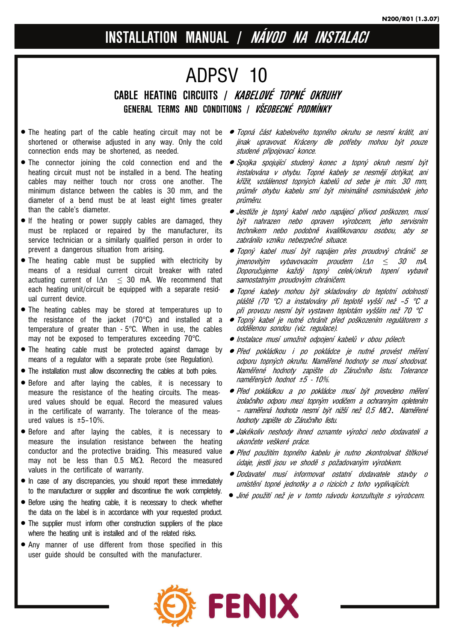# **INSTALLATION MANUAL / NÁVOD NA INSTALACI**

# ADPSV 10 **CABLE HEATING CIRCUITS / KABELOVÉ TOPNÉ OKRUHY GENERAL TERMS AND CONDITIONS / VŠEOBECNÉ PODMÍNKY**

- shortened or otherwise adjusted in any way. Only the cold connection ends may be shortened, as needed.
- heating circuit must not be installed in a bend. The heating cables may neither touch nor cross one another. The minimum distance between the cables is 30 mm, and the diameter of a bend must be at least eight times greater than the cable's diameter.
- If the heating or power supply cables are damaged, they must be replaced or repaired by the manufacturer, its service technician or a similarly qualified person in order to prevent a dangerous situation from arising.
- The heating cable must be supplied with electricity by means of a residual current circuit breaker with rated actuating current of  $|\Delta n| < 30$  mA. We recommend that each heating unit/circuit be equipped with a separate residual current device.
- The heating cables may be stored at temperatures up to the resistance of the jacket (70°C) and installed at a temperature of greater than - 5°C. When in use, the cables may not be exposed to temperatures exceeding 70°C.
- The heating cable must be protected against damage by  *Před pokládkou i po pokládce je nutné provést měření* means of a regulator with a separate probe (see Regulation).
- The installation must allow disconnecting the cables at both poles.
- Before and after laying the cables, it is necessary to measure the resistance of the heating circuits. The measured values should be equal. Record the measured values in the certificate of warranty. The tolerance of the measured values is ±5–10%.
- Before and after laying the cables, it is necessary to measure the insulation resistance between the heating conductor and the protective braiding. This measured value may not be less than 0.5 M $\Omega$ . Record the measured values in the certificate of warranty.
- In case of any discrepancies, you should report these immediately to the manufacturer or supplier and discontinue the work completely.
- Before using the heating cable, it is necessary to check whether the data on the label is in accordance with your requested product.
- The supplier must inform other construction suppliers of the place where the heating unit is installed and of the related risks.
- Any manner of use different from those specified in this user guide should be consulted with the manufacturer.
- The heating part of the cable heating circuit may not be  *Topná část kabelového topného okruhu se nesmí krátit, ani* jinak upravovat. Kráceny dle potřeby mohou být pouze studené připojovací konce.
- The connector joining the cold connection end and the  *Spojka spojující studený konec a topný okruh nesmí být* instalována v ohybu. Topné kabely se nesmějí dotýkat, ani křížit, vzdálenost topných kabelů od sebe je min. 30 mm, průměr ohybu kabelu smí být minimálně osminásobek jeho průměru.
	- Jestliže je topný kabel nebo napájecí přívod poškozen, musí být nahrazen nebo opraven výrobcem, jeho servisním technikem nebo podobně kvalifikovanou osobou, aby se zabránilo vzniku nebezpečné situace.
	- Topný kabel musí být napájen přes proudový chránič se jmenovitým vybavovacím proudem IΔn *≤* 30 mA. Doporučujeme každý topný celek/okruh topení vybavit samostatným proudovým chráničem.
	- Topné kabely mohou být skladovány do teplotní odolnosti pláště (70 °C) a instalovány při teplotě vyšší než –5 °C a při provozu nesmí být vystaven teplotám vyšším než 70 °C
	- Topný kabel je nutné chránit před poškozením regulátorem s oddělenou sondou (viz. regulace).
	- Instalace musí umožnit odpojení kabelů v obou pólech.
	- odporu topných okruhu. Naměřené hodnoty se musí shodovat. Naměřené hodnoty zapište do Záručního listu. Tolerance naměřených hodnot ±5 - 10%.
	- Před pokládkou a po pokládce musí být provedeno měření izolačního odporu mezi topným vodičem a ochranným opletením – naměřená hodnota nesmí být nižší než 0,5 M<sup>Ω</sup>*.* Naměřené hodnoty zapište do Záručního listu.
	- Jakékoliv neshody ihned oznamte výrobci nebo dodavateli a ukončete veškeré práce.
	- Před použitím topného kabelu je nutno zkontrolovat štítkové údaje, jestli jsou ve shodě s požadovaným výrobkem.
	- Dodavatel musí informovat ostatní dodavatele stavby o umístění topné jednotky a o rizicích z toho vyplívajících.
	- Jiné použití než je v tomto návodu konzultujte s výrobcem.

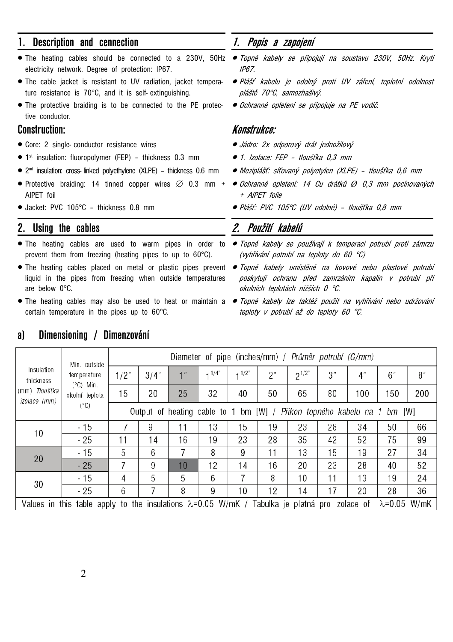# **1. Description and cennection**

- electricity network. Degree of protection: IP67.
- The cable jacket is resistant to UV radiation, jacket temperature resistance is 70°C, and it is self- extinguishing.
- The protective braiding is to be connected to the PE protective conductor.

# **Construction:**

- Core: 2 single- conductor resistance wires
- 1<sup>st</sup> insulation: fluoropolymer (FEP) thickness 0.3 mm
- 2nd insulation: cross- linked polyethylene (XLPE) thickness 0.6 mm
- Protective braiding: 14 tinned copper wires ∅ 0.3 mm + AlPET foil
- Jacket: PVC 105°C thickness 0.8 mm

### **2. Using the cables**

- The heating cables are used to warm pipes in order to prevent them from freezing (heating pipes to up to 60°C).
- The heating cables placed on metal or plastic pipes prevent Topné kabely umístěné na kovové nebo plastové potrubí liquid in the pipes from freezing when outside temperatures are below 0°C.
- certain temperature in the pipes up to 60°C.

# **1. Popis a zapojení**

- The heating cables should be connected to a 230V, 50Hz Topné kabely se připojují na soustavu 230V, 50Hz. Krytí IP67.
	- Plášť kabelu je odolný proti UV záření, teplotní odolnost pláště 70°C, samozhašivý.
	- Ochranné opletení se připojuje na PE vodič.

### **Konstrukce:**

- Jádro: 2x odporový drát jednožilový
- 1. Izolace: FEP tloušťka 0,3 mm
- Meziplášť: síťovaný polyetylen (XLPE) tloušťka 0,6 mm
- Ochranné opletení: 14 Cu drátků *Ø* 0,3 mm pocínovaných + AlPET folie
	- Plášť: PVC 105°C (UV odolné) tloušťka 0,8 mm

# **2. Použití kabelů**

- Topné kabely se používají k temperaci potrubí proti zámrzu (vyhřívání potrubí na teploty do 60 °C)
	- poskytují ochranu před zamrzáním kapalin v potrubí při okolních teplotách nižších 0 °C.
- The heating cables may also be used to heat or maintain a  *Topné kabely lze taktéž použít na vyhřívání nebo udržování* teploty v potrubí až do teploty 60 °C.

| Insulation<br>thickness<br>(mm) Tloušťka<br>izolace (mm)                                                                        | Min. outside<br>temperature<br>$(^{\circ}C)$ Min.<br>okolní teplota<br>$(^{\circ}C)$ | Diameter of pipe (inches/mm) / Průměr potrubí (G/mm)                    |      |    |                     |        |    |            |    |     |     |     |
|---------------------------------------------------------------------------------------------------------------------------------|--------------------------------------------------------------------------------------|-------------------------------------------------------------------------|------|----|---------------------|--------|----|------------|----|-----|-----|-----|
|                                                                                                                                 |                                                                                      | 1/2"                                                                    | 3/4" |    | $+1/4$ <sup>*</sup> | $+1/2$ | 2" | $2^{1/2"}$ | 3" | 4"  | 6"  | 8"  |
|                                                                                                                                 |                                                                                      | 15                                                                      | 20   | 25 | 32                  | 40     | 50 | 65         | 80 | 100 | 150 | 200 |
|                                                                                                                                 |                                                                                      | Output of heating cable to 1 bm [W] / Příkon topného kabelu na 1 bm [W] |      |    |                     |        |    |            |    |     |     |     |
| 10                                                                                                                              | $-15$                                                                                |                                                                         | 9    | 11 | 13                  | 15     | 19 | 23         | 28 | 34  | 50  | 66  |
|                                                                                                                                 | $-25$                                                                                | 11                                                                      | 14   | 16 | 19                  | 23     | 28 | 35         | 42 | 52  | 75  | 99  |
| 20                                                                                                                              | $-15$                                                                                | 5                                                                       | 6    |    | 8                   | 9      | 11 | 13         | 15 | 19  | 27  | 34  |
|                                                                                                                                 | $-25$                                                                                | 7                                                                       | 9    | 10 | 12                  | 14     | 16 | 20         | 23 | 28  | 40  | 52  |
| 30                                                                                                                              | $-15$                                                                                | 4                                                                       | 5    | 5  | 6                   | 7      | 8  | 10         | 11 | 13  | 19  | 24  |
|                                                                                                                                 | $-25$                                                                                | 6                                                                       |      | 8  | 9                   | 10     | 12 | 14         | 17 | 20  | 28  | 36  |
| Values in this table apply to the insulations $\lambda = 0.05$ W/mK / Tabulka je platná pro izolace of<br>$\lambda = 0.05$ W/mK |                                                                                      |                                                                         |      |    |                     |        |    |            |    |     |     |     |

# **a) Dimensioning / Dimenzování**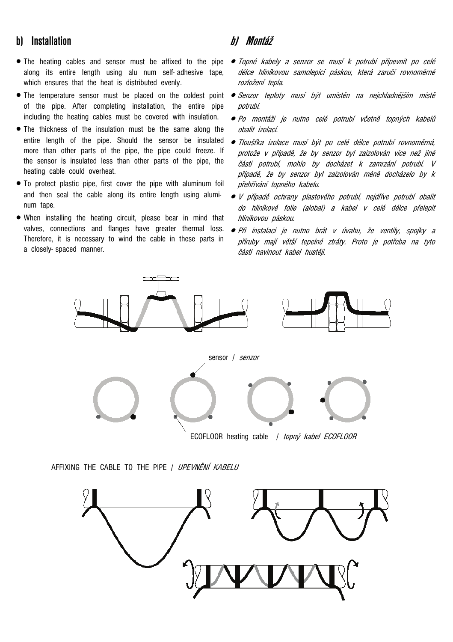# **b) Installation**

- The heating cables and sensor must be affixed to the pipe along its entire length using alu num self- adhesive tape, which ensures that the heat is distributed evenly.
- The temperature sensor must be placed on the coldest point of the pipe. After completing installation, the entire pipe including the heating cables must be covered with insulation.
- The thickness of the insulation must be the same along the entire length of the pipe. Should the sensor be insulated more than other parts of the pipe, the pipe could freeze. If the sensor is insulated less than other parts of the pipe, the heating cable could overheat.
- To protect plastic pipe, first cover the pipe with aluminum foil and then seal the cable along its entire length using aluminum tape.
- When installing the heating circuit, please bear in mind that valves, connections and flanges have greater thermal loss. Therefore, it is necessary to wind the cable in these parts in a closely- spaced manner.

# **b) Montáž**

- Topné kabely a senzor se musí k potrubí připevnit po celé délce hliníkovou samolepicí páskou, která zaručí rovnoměrné rozložení tepla.
- Senzor teploty musí být umístěn na nejchladnějším místě potrubí.
- Po montáži je nutno celé potrubí včetně topných kabelů obalit izolací.
- Tloušťka izolace musí být po celé délce potrubí rovnoměrná, protože v případě, že by senzor byl zaizolován více než jiné části potrubí, mohlo by docházet k zamrzání potrubí. V případě, že by senzor byl zaizolován méně docházelo by k přehřívání topného kabelu.
- V případě ochrany plastového potrubí, nejdříve potrubí obalit do hliníkové folie (alobal) a kabel v celé délce přelepit hliníkovou páskou.
- Při instalaci je nutno brát v úvahu, že ventily, spojky a příruby mají větší tepelné ztráty. Proto je potřeba na tyto části navinout kabel hustěji.



AFFIXING THE CABLE TO THE PIPE / UPEVNĚNÍ KABELU